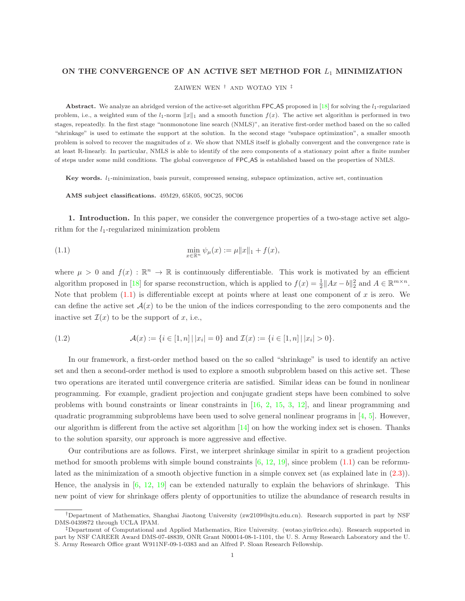## ON THE CONVERGENCE OF AN ACTIVE SET METHOD FOR  $L_1$  MINIMIZATION

ZAIWEN WEN † AND WOTAO YIN ‡

Abstract. We analyze an abridged version of the active-set algorithm FPC AS proposed in  $[18]$  for solving the  $l_1$ -regularized problem, i.e., a weighted sum of the  $l_1$ -norm  $||x||_1$  and a smooth function  $f(x)$ . The active set algorithm is performed in two stages, repeatedly. In the first stage "nonmonotone line search (NMLS)", an iterative first-order method based on the so called "shrinkage" is used to estimate the support at the solution. In the second stage "subspace optimization", a smaller smooth problem is solved to recover the magnitudes of x. We show that NMLS itself is globally convergent and the convergence rate is at least R-linearly. In particular, NMLS is able to identify of the zero components of a stationary point after a finite number of steps under some mild conditions. The global convergence of FPC AS is established based on the properties of NMLS.

Key words.  $l_1$ -minimization, basis pursuit, compressed sensing, subspace optimization, active set, continuation

<span id="page-0-0"></span>AMS subject classifications. 49M29, 65K05, 90C25, 90C06

1. Introduction. In this paper, we consider the convergence properties of a two-stage active set algorithm for the  $l_1$ -regularized minimization problem

(1.1) 
$$
\min_{x \in \mathbb{R}^n} \psi_{\mu}(x) := \mu \|x\|_1 + f(x),
$$

where  $\mu > 0$  and  $f(x) : \mathbb{R}^n \to \mathbb{R}$  is continuously differentiable. This work is motivated by an efficient algorithm proposed in [\[18\]](#page-18-0) for sparse reconstruction, which is applied to  $f(x) = \frac{1}{2} ||Ax - b||_2^2$  and  $A \in \mathbb{R}^{m \times n}$ . Note that problem  $(1.1)$  is differentiable except at points where at least one component of x is zero. We can define the active set  $\mathcal{A}(x)$  to be the union of the indices corresponding to the zero components and the inactive set  $\mathcal{I}(x)$  to be the support of x, i.e.,

(1.2) 
$$
\mathcal{A}(x) := \{i \in [1, n] \,|\, |x_i| = 0\} \text{ and } \mathcal{I}(x) := \{i \in [1, n] \,|\, |x_i| > 0\}.
$$

In our framework, a first-order method based on the so called "shrinkage" is used to identify an active set and then a second-order method is used to explore a smooth subproblem based on this active set. These two operations are iterated until convergence criteria are satisfied. Similar ideas can be found in nonlinear programming. For example, gradient projection and conjugate gradient steps have been combined to solve problems with bound constraints or linear constraints in [\[16,](#page-18-1) [2,](#page-18-2) [15,](#page-18-3) [3,](#page-18-4) [12\]](#page-18-5), and linear programming and quadratic programming subproblems have been used to solve general nonlinear programs in  $[4, 5]$  $[4, 5]$ . However, our algorithm is different from the active set algorithm [\[14\]](#page-18-8) on how the working index set is chosen. Thanks to the solution sparsity, our approach is more aggressive and effective.

Our contributions are as follows. First, we interpret shrinkage similar in spirit to a gradient projection method for smooth problems with simple bound constraints  $[6, 12, 19]$  $[6, 12, 19]$  $[6, 12, 19]$  $[6, 12, 19]$ , since problem  $(1.1)$  can be reformulated as the minimization of a smooth objective function in a simple convex set (as explained late in [\(2.3\)](#page-1-0)). Hence, the analysis in  $[6, 12, 19]$  $[6, 12, 19]$  $[6, 12, 19]$  $[6, 12, 19]$  can be extended naturally to explain the behaviors of shrinkage. This new point of view for shrinkage offers plenty of opportunities to utilize the abundance of research results in

<sup>†</sup>Department of Mathematics, Shanghai Jiaotong University (zw2109@sjtu.edu.cn). Research supported in part by NSF DMS-0439872 through UCLA IPAM.

<sup>‡</sup>Department of Computational and Applied Mathematics, Rice University. (wotao.yin@rice.edu). Research supported in part by NSF CAREER Award DMS-07-48839, ONR Grant N00014-08-1-1101, the U. S. Army Research Laboratory and the U. S. Army Research Office grant W911NF-09-1-0383 and an Alfred P. Sloan Research Fellowship.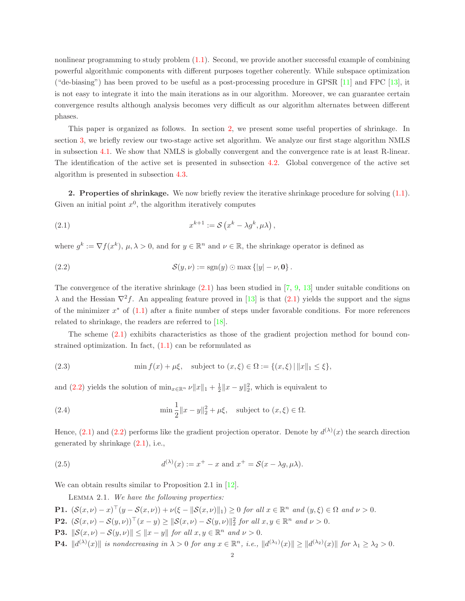nonlinear programming to study problem [\(1.1\)](#page-0-0). Second, we provide another successful example of combining powerful algorithmic components with different purposes together coherently. While subspace optimization ("de-biasing") has been proved to be useful as a post-processing procedure in GPSR [\[11\]](#page-18-11) and FPC [\[13\]](#page-18-12), it is not easy to integrate it into the main iterations as in our algorithm. Moreover, we can guarantee certain convergence results although analysis becomes very difficult as our algorithm alternates between different phases.

This paper is organized as follows. In section [2,](#page-1-1) we present some useful properties of shrinkage. In section [3,](#page-2-0) we briefly review our two-stage active set algorithm. We analyze our first stage algorithm NMLS in subsection [4.1.](#page-4-0) We show that NMLS is globally convergent and the convergence rate is at least R-linear. The identification of the active set is presented in subsection [4.2.](#page-9-0) Global convergence of the active set algorithm is presented in subsection [4.3.](#page-15-0)

<span id="page-1-1"></span>2. Properties of shrinkage. We now briefly review the iterative shrinkage procedure for solving [\(1.1\)](#page-0-0). Given an initial point  $x^0$ , the algorithm iteratively computes

<span id="page-1-2"></span>(2.1) 
$$
x^{k+1} := \mathcal{S}\left(x^k - \lambda g^k, \mu\lambda\right),
$$

where  $g^k := \nabla f(x^k)$ ,  $\mu, \lambda > 0$ , and for  $y \in \mathbb{R}^n$  and  $\nu \in \mathbb{R}$ , the shrinkage operator is defined as

<span id="page-1-3"></span>(2.2) 
$$
\mathcal{S}(y,\nu) := \text{sgn}(y) \odot \max\{|y| - \nu, 0\}.
$$

The convergence of the iterative shrinkage [\(2.1\)](#page-1-2) has been studied in [\[7,](#page-18-13) [9,](#page-18-14) [13\]](#page-18-12) under suitable conditions on  $\lambda$  and the Hessian  $\nabla^2 f$ . An appealing feature proved in [\[13\]](#page-18-12) is that [\(2.1\)](#page-1-2) yields the support and the signs of the minimizer  $x^*$  of  $(1.1)$  after a finite number of steps under favorable conditions. For more references related to shrinkage, the readers are referred to [\[18\]](#page-18-0).

The scheme [\(2.1\)](#page-1-2) exhibits characteristics as those of the gradient projection method for bound constrained optimization. In fact,  $(1.1)$  can be reformulated as

<span id="page-1-0"></span>(2.3) 
$$
\min f(x) + \mu \xi
$$
, subject to  $(x, \xi) \in \Omega := \{(x, \xi) | ||x||_1 \le \xi\}$ ,

and [\(2.2\)](#page-1-3) yields the solution of  $\min_{x \in \mathbb{R}^n} \nu \|x\|_1 + \frac{1}{2} \|x - y\|_2^2$ , which is equivalent to

<span id="page-1-4"></span>(2.4) 
$$
\min \frac{1}{2} ||x - y||_2^2 + \mu \xi, \text{ subject to } (x, \xi) \in \Omega.
$$

Hence,  $(2.1)$  and  $(2.2)$  performs like the gradient projection operator. Denote by  $d^{(\lambda)}(x)$  the search direction generated by shrinkage [\(2.1\)](#page-1-2), i.e.,

(2.5) 
$$
d^{(\lambda)}(x) := x^+ - x \text{ and } x^+ = \mathcal{S}(x - \lambda g, \mu \lambda).
$$

We can obtain results similar to Proposition 2.1 in  $[12]$ .

<span id="page-1-6"></span><span id="page-1-5"></span>Lemma 2.1. We have the following properties:

- **P1.**  $(\mathcal{S}(x,\nu) x)^{\top}(y \mathcal{S}(x,\nu)) + \nu(\xi ||\mathcal{S}(x,\nu)||_1) \geq 0$  for all  $x \in \mathbb{R}^n$  and  $(y,\xi) \in \Omega$  and  $\nu > 0$ .
- **P2.**  $(\mathcal{S}(x,\nu) \mathcal{S}(y,\nu))^{\top}(x-y) \ge ||\mathcal{S}(x,\nu) \mathcal{S}(y,\nu)||_2^2$  for all  $x, y \in \mathbb{R}^n$  and  $\nu > 0$ .
- **P3.**  $\|\mathcal{S}(x,\nu) \mathcal{S}(y,\nu)\| \leq \|x y\|$  for all  $x, y \in \mathbb{R}^n$  and  $\nu > 0$ .
- **P4.**  $||d^{(\lambda)}(x)||$  is nondecreasing in  $\lambda > 0$  for any  $x \in \mathbb{R}^n$ , i.e.,  $||d^{(\lambda_1)}(x)|| \ge ||d^{(\lambda_2)}(x)||$  for  $\lambda_1 \ge \lambda_2 > 0$ .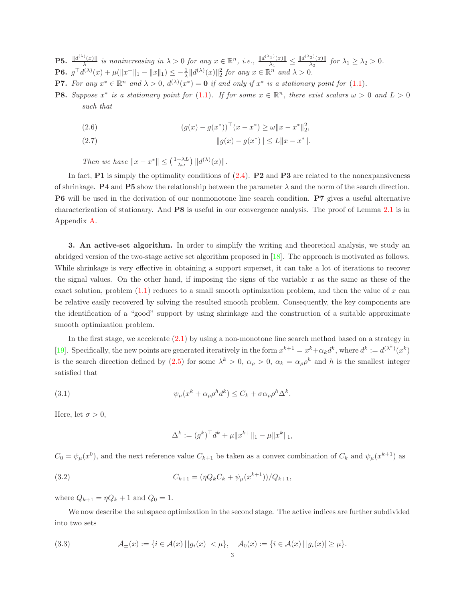**P5.**  $\frac{\|d^{(\lambda)}(x)\|}{\lambda}$  $\frac{\partial f(x)}{\partial x}$  is nonincreasing in  $\lambda > 0$  for any  $x \in \mathbb{R}^n$ , i.e.,  $\frac{\|d^{(\lambda_1)}(x)\|}{\lambda_1}$  $\frac{\|x^{(1)}(x)\|}{\lambda_1} \leq \frac{\|d^{(\lambda_2)}(x)\|}{\lambda_2}$  $\frac{2}{\lambda_2}$  for  $\lambda_1 \geq \lambda_2 > 0$ . **P6.**  $g^{\top}d^{(\lambda)}(x) + \mu(||x^+||_1 - ||x||_1) \leq -\frac{1}{\lambda} ||d^{(\lambda)}(x)||_2^2$  for any  $x \in \mathbb{R}^n$  and  $\lambda > 0$ .

- **P7.** For any  $x^* \in \mathbb{R}^n$  and  $\lambda > 0$ ,  $d^{(\lambda)}(x^*) = \mathbf{0}$  if and only if  $x^*$  is a stationary point for [\(1.1\)](#page-0-0).
- **P8.** Suppose  $x^*$  is a stationary point for [\(1.1\)](#page-0-0). If for some  $x \in \mathbb{R}^n$ , there exist scalars  $\omega > 0$  and  $L > 0$ such that

(2.6) 
$$
(g(x) - g(x^*))^\top (x - x^*) \ge \omega \|x - x^*\|_2^2,
$$

<span id="page-2-3"></span>(2.7) 
$$
||g(x) - g(x^*)|| \le L||x - x^*||.
$$

Then we have  $||x - x^*|| \leq (\frac{1 + \lambda L}{\lambda \omega}) ||d^{(\lambda)}(x)||$ .

In fact, **P1** is simply the optimality conditions of  $(2.4)$ . **P2** and **P3** are related to the nonexpansiveness of shrinkage. **P4** and **P5** show the relationship between the parameter  $\lambda$  and the norm of the search direction. P6 will be used in the derivation of our nonmonotone line search condition. P7 gives a useful alternative characterization of stationary. And P8 is useful in our convergence analysis. The proof of Lemma [2.1](#page-1-5) is in Appendix [A.](#page-16-0)

<span id="page-2-0"></span>3. An active-set algorithm. In order to simplify the writing and theoretical analysis, we study an abridged version of the two-stage active set algorithm proposed in [\[18\]](#page-18-0). The approach is motivated as follows. While shrinkage is very effective in obtaining a support superset, it can take a lot of iterations to recover the signal values. On the other hand, if imposing the signs of the variable  $x$  as the same as these of the exact solution, problem  $(1.1)$  reduces to a small smooth optimization problem, and then the value of x can be relative easily recovered by solving the resulted smooth problem. Consequently, the key components are the identification of a "good" support by using shrinkage and the construction of a suitable approximate smooth optimization problem.

In the first stage, we accelerate  $(2.1)$  by using a non-monotone line search method based on a strategy in [\[19\]](#page-18-10). Specifically, the new points are generated iteratively in the form  $x^{k+1} = x^k + \alpha_k d^k$ , where  $d^k := d^{(\lambda^k)}(x^k)$ is the search direction defined by [\(2.5\)](#page-1-6) for some  $\lambda^k > 0$ ,  $\alpha_\rho > 0$ ,  $\alpha_k = \alpha_\rho \rho^h$  and h is the smallest integer satisfied that

(3.1) 
$$
\psi_{\mu}(x^{k} + \alpha_{\rho}\rho^{h}d^{k}) \leq C_{k} + \sigma\alpha_{\rho}\rho^{h}\Delta^{k}.
$$

Here, let  $\sigma > 0$ ,

<span id="page-2-2"></span><span id="page-2-1"></span>
$$
\Delta^k := (g^k)^\top d^k + \mu \|x^{k+}\|_1 - \mu \|x^k\|_1,
$$

 $C_0 = \psi_\mu(x^0)$ , and the next reference value  $C_{k+1}$  be taken as a convex combination of  $C_k$  and  $\psi_\mu(x^{k+1})$  as

(3.2) 
$$
C_{k+1} = (\eta Q_k C_k + \psi_\mu(x^{k+1})) / Q_{k+1},
$$

where  $Q_{k+1} = \eta Q_k + 1$  and  $Q_0 = 1$ .

We now describe the subspace optimization in the second stage. The active indices are further subdivided into two sets

(3.3) 
$$
\mathcal{A}_{\pm}(x) := \{i \in \mathcal{A}(x) \,|\, |g_i(x)| < \mu\}, \quad \mathcal{A}_0(x) := \{i \in \mathcal{A}(x) \,|\, |g_i(x)| \ge \mu\}.
$$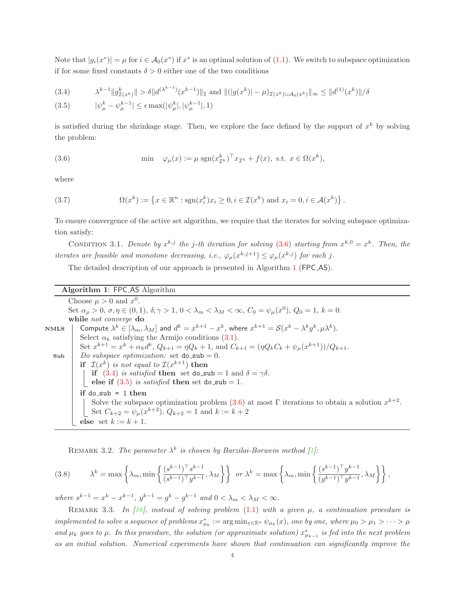Note that  $|g_i(x^*)| = \mu$  for  $i \in A_0(x^*)$  if  $x^*$  is an optimal solution of [\(1.1\)](#page-0-0). We switch to subspace optimization if for some fixed constants  $\delta > 0$  either one of the two conditions

<span id="page-3-2"></span>
$$
(3.4) \qquad \lambda^{k-1} \|g_{\mathcal{I}(x^k)}^k\| > \delta \|d^{(\lambda^{k-1})}(x^{k-1})\|_2 \text{ and } \|(|g(x^k)| - \mu)_{\mathcal{I}(x^k) \cup \mathcal{A}_0(x^k)}\|_{\infty} \le \|d^{(1)}(x^k)\|/\delta
$$
\n
$$
(3.5) \qquad |\psi|^k = |\psi^{k-1}| < \epsilon \max(|\psi|^k + |\psi|^{k-1} + 1)
$$

$$
(3.5) \qquad |\psi_{\mu}^{\kappa} - \psi_{\mu}^{\kappa - 1}| \le \epsilon \max(|\psi_{\mu}^{\kappa}|, |\psi_{\mu}^{\kappa - 1}|, 1)
$$

is satisfied during the shrinkage stage. Then, we explore the face defined by the support of  $x^k$  by solving the problem:

<span id="page-3-0"></span>(3.6) 
$$
\min \quad \varphi_{\mu}(x) := \mu \operatorname{sgn}(x_{\mathcal{I}^k}^k)^\top x_{\mathcal{I}^k} + f(x), \text{ s.t. } x \in \Omega(x^k),
$$

where

(3.7) 
$$
\Omega(x^k) := \left\{ x \in \mathbb{R}^n : \text{sgn}(x_i^k) x_i \ge 0, i \in \mathcal{I}(x^k) \text{ and } x_i = 0, i \in \mathcal{A}(x^k) \right\}.
$$

<span id="page-3-3"></span>To ensure convergence of the active set algorithm, we require that the iterates for solving subspace optimization satisfy:

CONDITION 3.1. Denote by  $x^{k,j}$  the j-th iteration for solving [\(3.6\)](#page-3-0) starting from  $x^{k,0} = x^k$ . Then, the iterates are feasible and monotone decreasing, i.e.,  $\varphi_{\mu}(x^{k,j+1}) \leq \varphi_{\mu}(x^{k,j})$  for each j.

<span id="page-3-1"></span>The detailed description of our approach is presented in Algorithm [1](#page-3-1) (FPC AS).

## Algorithm 1: FPC AS Algorithm

Choose  $\mu > 0$  and  $x^0$ . Set  $\alpha_{\rho} > 0$ ,  $\sigma, \eta \in (0, 1)$ ,  $\delta, \gamma > 1$ ,  $0 < \lambda_m < \lambda_M < \infty$ ,  $C_0 = \psi_{\mu}(x^0)$ ,  $Q_0 = 1$ ,  $k = 0$ . while not converge do NMLS  $\quad \vert \quad \textsf{Compute} \; \lambda^k \in [\lambda_m, \lambda_M] \; \textsf{and} \; d^k = x^{k+1} - x^k, \text{ where } x^{k+1} = \mathcal{S}(x^k - \lambda^k g^k, \mu \lambda^k).$ Select  $\alpha_k$  satisfying the Armijo conditions [\(3.1\)](#page-2-1). Set  $x^{k+1} = x^k + \alpha_k d^k$ ,  $Q_{k+1} = \eta Q_k + 1$ , and  $C_{k+1} = (\eta Q_k C_k + \psi_\mu(x^{k+1})) / Q_{k+1}$ .  $\mathbf{Sub}$  Do subspace optimization: set  $\mathbf{do\_sub} = 0$ . if  $\mathcal{I}(x^k)$  is not equal to  $\mathcal{I}(x^{k+1})$  then if [\(3.4\)](#page-3-2) is satisfied then set do\_sub = 1 and  $\delta = \gamma \delta$ . **else if**  $(3.5)$  is satisfied then set do sub = 1. if  $do$ \_sub = 1 then Solve the subspace optimization problem  $(3.6)$  at most Γ iterations to obtain a solution  $x^{k+2}$ . Set  $C_{k+2} = \psi_{\mu}(x^{k+2}), Q_{k+2} = 1$  and  $k := k+2$ else set  $k := k + 1$ .

REMARK 3.2. The parameter  $\lambda^k$  is chosen by Barzilai-Borwein method [\[1\]](#page-18-15):

(3.8) 
$$
\lambda^{k} = \max \left\{ \lambda_{m}, \min \left\{ \frac{(s^{k-1})^{\top} s^{k-1}}{(s^{k-1})^{\top} y^{k-1}}, \lambda_{M} \right\} \right\} \text{ or } \lambda^{k} = \max \left\{ \lambda_{m}, \min \left\{ \frac{(s^{k-1})^{\top} y^{k-1}}{(y^{k-1})^{\top} y^{k-1}}, \lambda_{M} \right\} \right\},
$$

where  $s^{k-1} = x^k - x^{k-1}$ ,  $y^{k-1} = g^k - g^{k-1}$  and  $0 < \lambda_m < \lambda_M < \infty$ .

REMARK 3.3. In [\[18\]](#page-18-0), instead of solving problem  $(1.1)$  with a given  $\mu$ , a continuation procedure is implemented to solve a sequence of problems  $x^*_{\mu_k} := \arg\min_{x \in \mathbb{R}^n} \psi_{\mu_k}(x)$ , one by one, where  $\mu_0 > \mu_1 > \cdots > \mu_k$ and  $\mu_k$  goes to  $\mu$ . In this procedure, the solution (or approximate solution)  $x^*_{\mu_{k-1}}$  is fed into the next problem as an initial solution. Numerical experiments have shown that continuation can significantly improve the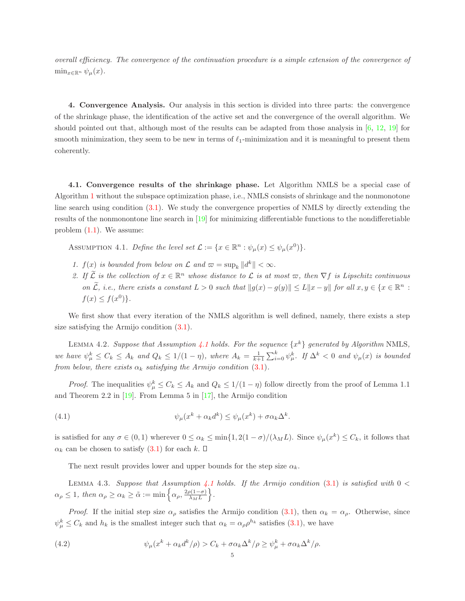overall efficiency. The convergence of the continuation procedure is a simple extension of the convergence of  $\min_{x \in \mathbb{R}^n} \psi_\mu(x)$ .

4. Convergence Analysis. Our analysis in this section is divided into three parts: the convergence of the shrinkage phase, the identification of the active set and the convergence of the overall algorithm. We should pointed out that, although most of the results can be adapted from those analysis in  $[6, 12, 19]$  $[6, 12, 19]$  $[6, 12, 19]$  $[6, 12, 19]$  for smooth minimization, they seem to be new in terms of  $\ell_1$ -minimization and it is meaningful to present them coherently.

<span id="page-4-0"></span>4.1. Convergence results of the shrinkage phase. Let Algorithm NMLS be a special case of Algorithm [1](#page-3-1) without the subspace optimization phase, i.e., NMLS consists of shrinkage and the nonmonotone line search using condition [\(3.1\)](#page-2-1). We study the convergence properties of NMLS by directly extending the results of the nonmonontone line search in [\[19\]](#page-18-10) for minimizing differentiable functions to the nondifferetiable problem [\(1.1\)](#page-0-0). We assume:

<span id="page-4-1"></span>ASSUMPTION 4.1. Define the level set  $\mathcal{L} := \{x \in \mathbb{R}^n : \psi_\mu(x) \leq \psi_\mu(x^0)\}.$ 

- 1.  $f(x)$  is bounded from below on  $\mathcal L$  and  $\varpi = \sup_k ||d^k|| < \infty$ .
- 2. If  $\tilde{\mathcal{L}}$  is the collection of  $x \in \mathbb{R}^n$  whose distance to  $\mathcal{L}$  is at most  $\varpi$ , then  $\nabla f$  is Lipschitz continuous on  $\widetilde{\mathcal{L}}$ , i.e., there exists a constant  $L > 0$  such that  $||g(x) - g(y)|| \le L||x - y||$  for all  $x, y \in \{x \in \mathbb{R}^n :$  $f(x) \leq f(x^0)$ .

<span id="page-4-4"></span>We first show that every iteration of the NMLS algorithm is well defined, namely, there exists a step size satisfying the Armijo condition [\(3.1\)](#page-2-1).

LEMMA 4.2. Suppose that Assumption [4.1](#page-4-1) holds. For the sequence  $\{x^k\}$  generated by Algorithm NMLS, we have  $\psi_{\mu}^k \leq C_k \leq A_k$  and  $Q_k \leq 1/(1 - \eta)$ , where  $A_k = \frac{1}{k+1} \sum_{i=0}^k \psi_{\mu}^k$ . If  $\Delta^k < 0$  and  $\psi_{\mu}(x)$  is bounded from below, there exists  $\alpha_k$  satisfying the Armijo condition [\(3.1\)](#page-2-1).

*Proof.* The inequalities  $\psi_{\mu}^k \leq C_k \leq A_k$  and  $Q_k \leq 1/(1-\eta)$  follow directly from the proof of Lemma 1.1 and Theorem 2.2 in  $[19]$ . From Lemma 5 in  $[17]$ , the Armijo condition

(4.1) 
$$
\psi_{\mu}(x^{k} + \alpha_{k}d^{k}) \leq \psi_{\mu}(x^{k}) + \sigma \alpha_{k} \Delta^{k}.
$$

is satisfied for any  $\sigma \in (0,1)$  wherever  $0 \le \alpha_k \le \min\{1, 2(1-\sigma)/(\lambda_M L)\}\$ . Since  $\psi_\mu(x^k) \le C_k$ , it follows that  $\alpha_k$  can be chosen to satisfy  $(3.1)$  for each k.  $\Box$ 

<span id="page-4-3"></span>The next result provides lower and upper bounds for the step size  $\alpha_k$ .

LEMMA 4.3. Suppose that Assumption [4.1](#page-4-1) holds. If the Armijo condition [\(3.1\)](#page-2-1) is satisfied with  $0 <$  $\alpha_{\rho} \leq 1$ , then  $\alpha_{\rho} \geq \alpha_{k} \geq \tilde{\alpha} := \min \left\{ \alpha_{\rho}, \frac{2\rho(1-\sigma)}{\lambda_{ML}} \right\}$  $\lambda_M$   $L$  $\bigg\}$ .

*Proof.* If the initial step size  $\alpha_{\rho}$  satisfies the Armijo condition [\(3.1\)](#page-2-1), then  $\alpha_k = \alpha_{\rho}$ . Otherwise, since  $\psi_{\mu}^{k} \leq C_{k}$  and  $h_{k}$  is the smallest integer such that  $\alpha_{k} = \alpha_{\rho} \rho^{h_{k}}$  satisfies [\(3.1\)](#page-2-1), we have

<span id="page-4-2"></span>(4.2) 
$$
\psi_{\mu}(x^k + \alpha_k d^k/\rho) > C_k + \sigma \alpha_k \Delta^k/\rho \geq \psi_{\mu}^k + \sigma \alpha_k \Delta^k/\rho.
$$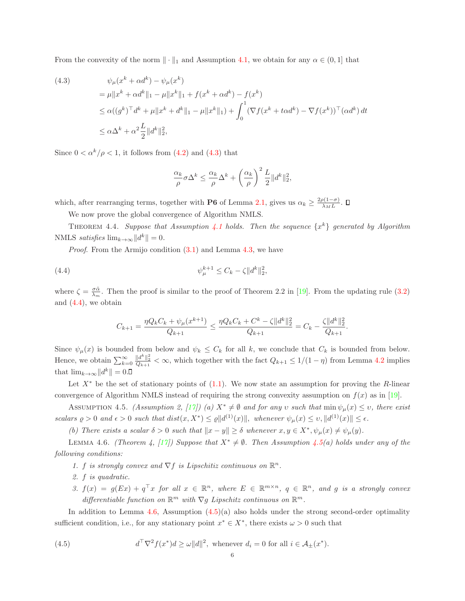From the convexity of the norm  $\|\cdot\|_1$  and Assumption [4.1,](#page-4-1) we obtain for any  $\alpha \in (0,1]$  that

<span id="page-5-0"></span>(4.3) 
$$
\psi_{\mu}(x^{k} + \alpha d^{k}) - \psi_{\mu}(x^{k})
$$
  
\n
$$
= \mu \|x^{k} + \alpha d^{k}\|_{1} - \mu \|x^{k}\|_{1} + f(x^{k} + \alpha d^{k}) - f(x^{k})
$$
  
\n
$$
\leq \alpha ((g^{k})^{\top} d^{k} + \mu \|x^{k} + d^{k}\|_{1} - \mu \|x^{k}\|_{1}) + \int_{0}^{1} (\nabla f(x^{k} + t \alpha d^{k}) - \nabla f(x^{k}))^{\top} (\alpha d^{k}) dt
$$
  
\n
$$
\leq \alpha \Delta^{k} + \alpha^{2} \frac{L}{2} \|d^{k}\|_{2}^{2},
$$

Since  $0 < \alpha^k/\rho < 1$ , it follows from [\(4.2\)](#page-4-2) and [\(4.3\)](#page-5-0) that

<span id="page-5-5"></span>
$$
\frac{\alpha_k}{\rho}\sigma\Delta^k \le \frac{\alpha_k}{\rho}\Delta^k + \left(\frac{\alpha_k}{\rho}\right)^2\frac{L}{2}||d^k||_2^2,
$$

which, after rearranging terms, together with **P6** of Lemma [2.1,](#page-1-5) gives us  $\alpha_k \geq \frac{2\rho(1-\sigma)}{\lambda_M L}$  $\frac{\partial (1-\sigma)}{\partial_M L}$ .

We now prove the global convergence of Algorithm NMLS.

THEOREM 4.4. Suppose that Assumption [4.1](#page-4-1) holds. Then the sequence  $\{x^k\}$  generated by Algorithm NMLS satisfies  $\lim_{k\to\infty} ||d^k|| = 0.$ 

Proof. From the Armijo condition  $(3.1)$  and Lemma [4.3,](#page-4-3) we have

(4.4) 
$$
\psi_{\mu}^{k+1} \leq C_k - \zeta \|d^k\|_2^2,
$$

where  $\zeta = \frac{\sigma \tilde{\alpha}}{\lambda_m}$ . Then the proof is similar to the proof of Theorem 2.2 in [\[19\]](#page-18-10). From the updating rule [\(3.2\)](#page-2-2) and [\(4.4\)](#page-5-1), we obtain

<span id="page-5-1"></span>
$$
C_{k+1} = \frac{\eta Q_k C_k + \psi_\mu(x^{k+1})}{Q_{k+1}} \le \frac{\eta Q_k C_k + C^k - \zeta ||d^k||_2^2}{Q_{k+1}} = C_k - \frac{\zeta ||d^k||_2^2}{Q_{k+1}}.
$$

Since  $\psi_{\mu}(x)$  is bounded from below and  $\psi_k \leq C_k$  for all k, we conclude that  $C_k$  is bounded from below. Hence, we obtain  $\sum_{k=0}^{\infty}$  $\frac{||d^k||_2^2}{Q_{k+1}} < \infty$ , which together with the fact  $Q_{k+1} \leq 1/(1-\eta)$  from Lemma [4.2](#page-4-4) implies that  $\lim_{k\to\infty} ||d^k|| = 0.$ 

<span id="page-5-2"></span>Let  $X^*$  be the set of stationary points of  $(1.1)$ . We now state an assumption for proving the R-linear convergence of Algorithm NMLS instead of requiring the strong convexity assumption on  $f(x)$  as in [\[19\]](#page-18-10).

ASSUMPTION 4.5. (Assumption 2, [\[17\]](#page-18-16)) (a)  $X^* \neq \emptyset$  and for any v such that  $\min \psi_\mu(x) \leq v$ , there exist scalars  $\rho > 0$  and  $\epsilon > 0$  such that  $dist(x, X^*) \leq \rho ||d^{(1)}(x)||$ , whenever  $\psi_{\mu}(x) \leq v$ ,  $||d^{(1)}(x)|| \leq \epsilon$ .

<span id="page-5-3"></span>(b) There exists a scalar  $\delta > 0$  such that  $||x - y|| \geq \delta$  whenever  $x, y \in X^*$ ,  $\psi_\mu(x) \neq \psi_\mu(y)$ .

LEMMA 4.6. (Theorem 4, [\[17\]](#page-18-16)) Suppose that  $X^* \neq \emptyset$ . Then Assumption [4.5\(](#page-5-2)a) holds under any of the following conditions:

- 1. f is strongly convex and  $\nabla f$  is Lipschitiz continuous on  $\mathbb{R}^n$ .
- 2. f is quadratic.
- 3.  $f(x) = g(EX) + q^{\top}x$  for all  $x \in \mathbb{R}^n$ , where  $E \in \mathbb{R}^{m \times n}$ ,  $q \in \mathbb{R}^n$ , and g is a strongly convex differentiable function on  $\mathbb{R}^m$  with  $\nabla g$  Lipschitz continuous on  $\mathbb{R}^m$ .

In addition to Lemma [4.6,](#page-5-3) Assumption  $(4.5)(a)$  also holds under the strong second-order optimality sufficient condition, i.e., for any stationary point  $x^* \in X^*$ , there exists  $\omega > 0$  such that

<span id="page-5-4"></span>(4.5) 
$$
d^{\top} \nabla^2 f(x^*) d \ge \omega ||d||^2, \text{ whenever } d_i = 0 \text{ for all } i \in \mathcal{A}_{\pm}(x^*).
$$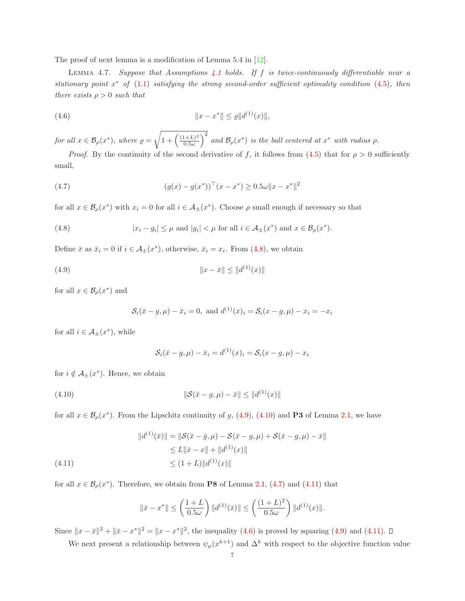<span id="page-6-6"></span>The proof of next lemma is a modification of Lemma 5.4 in [\[12\]](#page-18-5).

LEMMA 4.7. Suppose that Assumptions [4.1](#page-4-1) holds. If f is twice-continuously differentiable near a stationary point  $x^*$  of  $(1.1)$  satisfying the strong second-order sufficient optimality condition  $(4.5)$ , then there exists  $\rho > 0$  such that

<span id="page-6-5"></span>(4.6) 
$$
||x - x^*|| \le \varrho ||d^{(1)}(x)||,
$$

for all  $x \in \mathcal{B}_{\rho}(x^*)$ , where  $\rho =$  $\sqrt{1 + \left(\frac{(1+L)^2}{0.5\omega}\right)}$  $0.5\omega$  $\int_0^2$  and  $\mathcal{B}_{\rho}(x^*)$  is the ball centered at  $x^*$  with radius  $\rho$ .

*Proof.* By the continuity of the second derivative of f, it follows from  $(4.5)$  that for  $\rho > 0$  sufficiently small,

<span id="page-6-3"></span>(4.7) 
$$
(g(x) - g(x^*))^\top (x - x^*) \ge 0.5\omega \|x - x^*\|^2
$$

for all  $x \in \mathcal{B}_{\rho}(x^*)$  with  $x_i = 0$  for all  $i \in \mathcal{A}_{\pm}(x^*)$ . Choose  $\rho$  small enough if necessary so that

<span id="page-6-0"></span>(4.8) 
$$
|x_i - g_i| \leq \mu \text{ and } |g_i| < \mu \text{ for all } i \in \mathcal{A}_{\pm}(x^*) \text{ and } x \in \mathcal{B}_{\rho}(x^*).
$$

Define  $\bar{x}$  as  $\bar{x}_i = 0$  if  $i \in \mathcal{A}_{\pm}(x^*)$ , otherwise,  $\bar{x}_i = x_i$ . From [\(4.8\)](#page-6-0), we obtain

$$
(4.9) \t\t\t\t||x - \bar{x}|| \le ||d^{(1)}(x)||
$$

for all  $x \in \mathcal{B}_{\rho}(x^*)$  and

<span id="page-6-1"></span>
$$
\mathcal{S}_i(\bar{x} - g, \mu) - \bar{x}_i = 0
$$
, and  $d^{(1)}(x)_i = \mathcal{S}_i(x - g, \mu) - x_i = -x_i$ 

for all  $i \in \mathcal{A}_{\pm}(x^*)$ , while

<span id="page-6-2"></span>
$$
S_i(\bar{x} - g, \mu) - \bar{x}_i = d^{(1)}(x)_i = S_i(x - g, \mu) - x_i
$$

for  $i \notin \mathcal{A}_{\pm}(x^*)$ . Hence, we obtain

(4.10) 
$$
\|\mathcal{S}(\bar{x} - g, \mu) - \bar{x}\| \le \|d^{(1)}(x)\|
$$

for all  $x \in \mathcal{B}_{\rho}(x^*)$ . From the Lipschitz continuity of g, [\(4.9\)](#page-6-1), [\(4.10\)](#page-6-2) and **P3** of Lemma [2.1,](#page-1-5) we have

$$
||d^{(1)}(\bar{x})|| = ||S(\bar{x} - \bar{g}, \mu) - S(\bar{x} - g, \mu) + S(\bar{x} - g, \mu) - \bar{x}||
$$
  
\n
$$
\leq L ||\bar{x} - x|| + ||d^{(1)}(x)||
$$
  
\n
$$
\leq (1 + L) ||d^{(1)}(x)||
$$

for all  $x \in \mathcal{B}_{\rho}(x^*)$ . Therefore, we obtain from **P8** of Lemma [2.1,](#page-1-5) [\(4.7\)](#page-6-3) and [\(4.11\)](#page-6-4) that

<span id="page-6-4"></span>
$$
\|\bar{x} - x^*\| \le \left(\frac{1+L}{0.5\omega}\right) \|d^{(1)}(\bar{x})\| \le \left(\frac{(1+L)^2}{0.5\omega}\right) \|d^{(1)}(x)\|.
$$

Since  $||x - \bar{x}||^2 + ||\bar{x} - x^*||^2 = ||x - x^*||^2$ , the inequality [\(4.6\)](#page-6-5) is proved by squaring [\(4.9\)](#page-6-1) and [\(4.11\)](#page-6-4).

We next present a relationship between  $\psi_{\mu}(x^{k+1})$  and  $\Delta^{k}$  with respect to the objective function value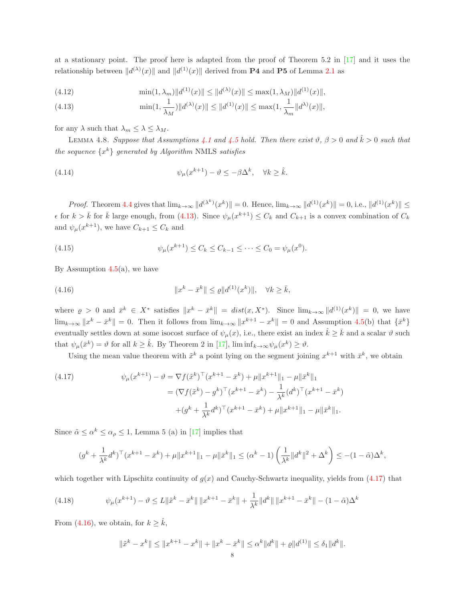at a stationary point. The proof here is adapted from the proof of Theorem 5.2 in [\[17\]](#page-18-16) and it uses the relationship between  $||d^{(\lambda)}(x)||$  and  $||d^{(1)}(x)||$  derived from **P4** and **P5** of Lemma [2.1](#page-1-5) as

<span id="page-7-0"></span>(4.12) 
$$
\min(1, \lambda_m) \|d^{(1)}(x)\| \le \|d^{(\lambda)}(x)\| \le \max(1, \lambda_M) \|d^{(1)}(x)\|,
$$

(4.13) 
$$
\min(1, \frac{1}{\lambda_M}) \|d^{(\lambda)}(x)\| \le \|d^{(1)}(x)\| \le \max(1, \frac{1}{\lambda_m} \|d^{\lambda)}(x)\|,
$$

<span id="page-7-5"></span>for any  $\lambda$  such that  $\lambda_m \leq \lambda \leq \lambda_M$ .

LEMMA 4.8. Suppose that Assumptions [4.1](#page-4-1) and [4.5](#page-5-2) hold. Then there exist  $\vartheta$ ,  $\beta > 0$  and  $\hat{k} > 0$  such that the sequence  $\{x^k\}$  generated by Algorithm NMLS satisfies

<span id="page-7-4"></span>(4.14) 
$$
\psi_{\mu}(x^{k+1}) - \vartheta \leq -\beta \Delta^{k}, \quad \forall k \geq \hat{k}.
$$

Proof. Theorem [4.4](#page-5-5) gives that  $\lim_{k\to\infty} ||d^{(\lambda^k)}(x^k)|| = 0$ . Hence,  $\lim_{k\to\infty} ||d^{(1)}(x^k)|| = 0$ , i.e.,  $||d^{(1)}(x^k)|| \le$  $\epsilon$  for  $k > \bar{k}$  for  $\bar{k}$  large enough, from [\(4.13\)](#page-7-0). Since  $\psi_{\mu}(x^{k+1}) \leq C_k$  and  $C_{k+1}$  is a convex combination of  $C_k$ and  $\psi_{\mu}(x^{k+1}),$  we have  $C_{k+1} \leq C_k$  and

<span id="page-7-6"></span>(4.15) 
$$
\psi_{\mu}(x^{k+1}) \leq C_k \leq C_{k-1} \leq \cdots \leq C_0 = \psi_{\mu}(x^0).
$$

By Assumption  $4.5(a)$  $4.5(a)$ , we have

<span id="page-7-2"></span>(4.16) 
$$
||x^{k} - \bar{x}^{k}|| \leq \varrho ||d^{(1)}(x^{k})||, \quad \forall k \geq \bar{k},
$$

where  $\varrho > 0$  and  $\bar{x}^k \in X^*$  satisfies  $||x^k - \bar{x}^k|| = dist(x, X^*)$ . Since  $\lim_{k \to \infty} ||d^{(1)}(x^k)|| = 0$ , we have  $\lim_{k\to\infty} ||x^k - \bar{x}^k|| = 0$ . Then it follows from  $\lim_{k\to\infty} ||x^{k+1} - x^k|| = 0$  and Assumption [4.5\(](#page-5-2)b) that  $\{\bar{x}^k\}$ eventually settles down at some isocost surface of  $\psi_{\mu}(x)$ , i.e., there exist an index  $\hat{k} \geq \bar{k}$  and a scalar  $\vartheta$  such that  $\psi_{\mu}(\bar{x}^k) = \vartheta$  for all  $k \geq \hat{k}$ . By Theorem 2 in [\[17\]](#page-18-16),  $\liminf_{k \to \infty} \psi_{\mu}(x^k) \geq \vartheta$ .

<span id="page-7-1"></span>Using the mean value theorem with  $\tilde{x}^k$  a point lying on the segment joining  $x^{k+1}$  with  $\bar{x}^k$ , we obtain

(4.17) 
$$
\psi_{\mu}(x^{k+1}) - \vartheta = \nabla f(\tilde{x}^{k})^{\top} (x^{k+1} - \bar{x}^{k}) + \mu \|x^{k+1}\|_{1} - \mu \|\bar{x}^{k}\|_{1}
$$

$$
= (\nabla f(\tilde{x}^{k}) - g^{k})^{\top} (x^{k+1} - \bar{x}^{k}) - \frac{1}{\lambda^{k}} (d^{k})^{\top} (x^{k+1} - \bar{x}^{k})
$$

$$
+ (g^{k} + \frac{1}{\lambda^{k}} d^{k})^{\top} (x^{k+1} - \bar{x}^{k}) + \mu \|x^{k+1}\|_{1} - \mu \|\bar{x}^{k}\|_{1}.
$$

Since  $\tilde{\alpha} \leq \alpha^k \leq \alpha \leq 1$ , Lemma 5 (a) in [\[17\]](#page-18-16) implies that

$$
(g^k+\frac{1}{\lambda^k}d^k)^\top (x^{k+1}-\bar{x}^k)+\mu\|x^{k+1}\|_1-\mu\|\bar{x}^k\|_1\leq (\alpha^k-1)\left(\frac{1}{\lambda^k}\|d^k\|^2+\Delta^k\right)\leq -(1-\tilde{\alpha})\Delta^k,
$$

which together with Lipschitz continuity of  $q(x)$  and Cauchy-Schwartz inequality, yields from [\(4.17\)](#page-7-1) that

$$
(4.18) \t\t \psi_{\mu}(x^{k+1}) - \vartheta \le L \|\tilde{x}^{k} - \bar{x}^{k}\| \|x^{k+1} - \bar{x}^{k}\| + \frac{1}{\lambda^{k}} \|d^{k}\| \|x^{k+1} - \bar{x}^{k}\| - (1 - \tilde{\alpha})\Delta^{k}
$$

From [\(4.16\)](#page-7-2), we obtain, for  $k \geq \hat{k}$ ,

<span id="page-7-3"></span>
$$
\|\tilde{x}^k - x^k\| \le \|x^{k+1} - x^k\| + \|x^k - \bar{x}^k\| \le \alpha^k \|d^k\| + \varrho \|d^{(1)}\| \le \delta_1 \|d^k\|.
$$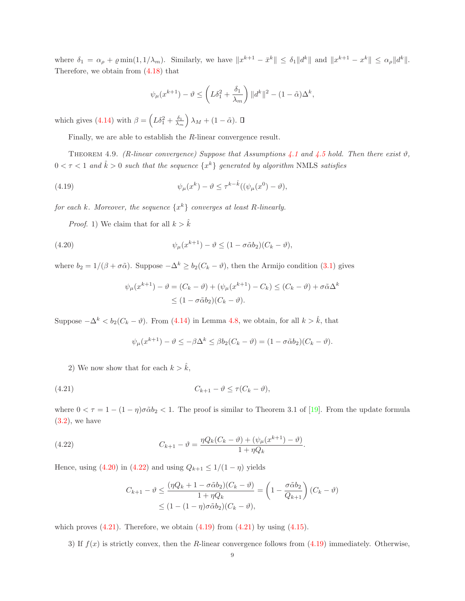where  $\delta_1 = \alpha_\rho + \varrho \min(1, 1/\lambda_m)$ . Similarly, we have  $||x^{k+1} - \bar{x}^k|| \leq \delta_1 ||d^k||$  and  $||x^{k+1} - x^k|| \leq \alpha_\rho ||d^k||$ . Therefore, we obtain from [\(4.18\)](#page-7-3) that

<span id="page-8-3"></span>
$$
\psi_\mu(x^{k+1}) - \vartheta \le \left(L\delta_1^2 + \frac{\delta_1}{\lambda_m}\right) \|d^k\|^2 - (1-\tilde\alpha)\Delta^k,
$$

which gives [\(4.14\)](#page-7-4) with  $\beta = \left( L\delta_1^2 + \frac{\delta_1}{\lambda_m} \right)$  $\big)$   $\lambda_M + (1 - \tilde{\alpha})$ .

Finally, we are able to establish the R-linear convergence result.

THEOREM 4.9. (R-linear convergence) Suppose that Assumptions [4.1](#page-4-1) and [4.5](#page-5-2) hold. Then there exist  $\vartheta$ ,  $0 < \tau < 1$  and  $\hat{k} > 0$  such that the sequence  $\{x^k\}$  generated by algorithm NMLS satisfies

(4.19) 
$$
\psi_{\mu}(x^{k}) - \vartheta \leq \tau^{k-\hat{k}}((\psi_{\mu}(x^{0}) - \vartheta),
$$

for each k. Moreover, the sequence  $\{x^k\}$  converges at least R-linearly.

*Proof.* 1) We claim that for all  $k > \hat{k}$ 

(4.20) 
$$
\psi_{\mu}(x^{k+1}) - \vartheta \le (1 - \sigma \tilde{\alpha} b_2)(C_k - \vartheta),
$$

where  $b_2 = 1/(\beta + \sigma \tilde{\alpha})$ . Suppose  $-\Delta^k \ge b_2(C_k - \vartheta)$ , then the Armijo condition [\(3.1\)](#page-2-1) gives

<span id="page-8-0"></span>
$$
\psi_{\mu}(x^{k+1}) - \vartheta = (C_k - \vartheta) + (\psi_{\mu}(x^{k+1}) - C_k) \le (C_k - \vartheta) + \sigma \tilde{\alpha} \Delta^k
$$
  

$$
\le (1 - \sigma \tilde{\alpha} b_2)(C_k - \vartheta).
$$

Suppose  $-\Delta^k < b_2(C_k - \vartheta)$ . From [\(4.14\)](#page-7-4) in Lemma [4.8,](#page-7-5) we obtain, for all  $k > \hat{k}$ , that

<span id="page-8-2"></span>
$$
\psi_{\mu}(x^{k+1}) - \vartheta \leq -\beta \Delta^k \leq \beta b_2 (C_k - \vartheta) = (1 - \sigma \tilde{\alpha} b_2)(C_k - \vartheta).
$$

2) We now show that for each  $k > \hat{k}$ ,

$$
(4.21) \t C_{k+1} - \vartheta \le \tau (C_k - \vartheta),
$$

where  $0 < \tau = 1 - (1 - \eta)\sigma \tilde{\alpha} b_2 < 1$ . The proof is similar to Theorem 3.1 of [\[19\]](#page-18-10). From the update formula  $(3.2)$ , we have

(4.22) 
$$
C_{k+1} - \vartheta = \frac{\eta Q_k (C_k - \vartheta) + (\psi_\mu(x^{k+1}) - \vartheta)}{1 + \eta Q_k}.
$$

Hence, using [\(4.20\)](#page-8-0) in [\(4.22\)](#page-8-1) and using  $Q_{k+1} \leq 1/(1 - \eta)$  yields

<span id="page-8-1"></span>
$$
C_{k+1} - \vartheta \le \frac{(\eta Q_k + 1 - \sigma \tilde{\alpha} b_2)(C_k - \vartheta)}{1 + \eta Q_k} = \left(1 - \frac{\sigma \tilde{\alpha} b_2}{Q_{k+1}}\right)(C_k - \vartheta)
$$
  

$$
\le (1 - (1 - \eta)\sigma \tilde{\alpha} b_2)(C_k - \vartheta),
$$

which proves  $(4.21)$ . Therefore, we obtain  $(4.19)$  from  $(4.21)$  by using  $(4.15)$ .

3) If  $f(x)$  is strictly convex, then the R-linear convergence follows from [\(4.19\)](#page-8-3) immediately. Otherwise,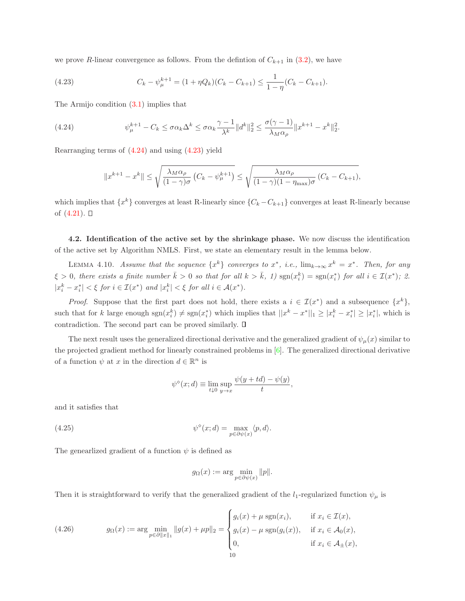we prove R-linear convergence as follows. From the definition of  $C_{k+1}$  in [\(3.2\)](#page-2-2), we have

<span id="page-9-2"></span>(4.23) 
$$
C_k - \psi_{\mu}^{k+1} = (1 + \eta Q_k)(C_k - C_{k+1}) \le \frac{1}{1 - \eta}(C_k - C_{k+1}).
$$

The Armijo condition [\(3.1\)](#page-2-1) implies that

(4.24) 
$$
\psi_{\mu}^{k+1} - C_k \leq \sigma \alpha_k \Delta^k \leq \sigma \alpha_k \frac{\gamma - 1}{\lambda^k} \|d^k\|_2^2 \leq \frac{\sigma(\gamma - 1)}{\lambda_M \alpha_\rho} \|x^{k+1} - x^k\|_2^2.
$$

Rearranging terms of [\(4.24\)](#page-9-1) and using [\(4.23\)](#page-9-2) yield

<span id="page-9-1"></span>
$$
||x^{k+1} - x^k|| \le \sqrt{\frac{\lambda_M \alpha_\rho}{(1-\gamma)\sigma} \left(C_k - \psi_\mu^{k+1}\right)} \le \sqrt{\frac{\lambda_M \alpha_\rho}{(1-\gamma)(1-\eta_{\max})\sigma} \left(C_k - C_{k+1}\right)},
$$

which implies that  $\{x^k\}$  converges at least R-linearly since  $\{C_k - C_{k+1}\}$  converges at least R-linearly because of  $(4.21)$ .  $\square$ 

<span id="page-9-4"></span><span id="page-9-0"></span>4.2. Identification of the active set by the shrinkage phase. We now discuss the identification of the active set by Algorithm NMLS. First, we state an elementary result in the lemma below.

LEMMA 4.10. Assume that the sequence  $\{x^k\}$  converges to  $x^*$ , i.e.,  $\lim_{k\to\infty} x^k = x^*$ . Then, for any  $\xi > 0$ , there exists a finite number  $\bar{k} > 0$  so that for all  $k > \bar{k}$ , 1)  $sgn(x_i^k) = sgn(x_i^*)$  for all  $i \in \mathcal{I}(x^*)$ ; 2.  $|x_i^k - x_i^*| < \xi$  for  $i \in \mathcal{I}(x^*)$  and  $|x_i^k| < \xi$  for all  $i \in \mathcal{A}(x^*)$ .

*Proof.* Suppose that the first part does not hold, there exists a  $i \in \mathcal{I}(x^*)$  and a subsequence  $\{x^k\}$ , such that for k large enough  $sgn(x_i^k) \neq sgn(x_i^*)$  which implies that  $||x^k - x^*||_1 \geq |x_i^k - x_i^*| \geq |x_i^*|$ , which is contradiction. The second part can be proved similarly.  $\Box$ 

The next result uses the generalized directional derivative and the generalized gradient of  $\psi_{\mu}(x)$  similar to the projected gradient method for linearly constrained problems in [\[6\]](#page-18-9). The generalized directional derivative of a function  $\psi$  at x in the direction  $d \in \mathbb{R}^n$  is

$$
\psi^{\diamond}(x; d) \equiv \lim_{t \downarrow 0} \sup_{y \to x} \frac{\psi(y + td) - \psi(y)}{t},
$$

and it satisfies that

(4.25) 
$$
\psi^{\diamond}(x; d) = \max_{p \in \partial \psi(x)} \langle p, d \rangle.
$$

The genearlized gradient of a function  $\psi$  is defined as

<span id="page-9-3"></span>
$$
g_{\Omega}(x) := \arg \min_{p \in \partial \psi(x)} \|p\|.
$$

Then it is straightforward to verify that the generalized gradient of the  $l_1$ -regularized function  $\psi_\mu$  is

(4.26) 
$$
g_{\Omega}(x) := \arg \min_{p \in \partial ||x||_1} ||g(x) + \mu p||_2 = \begin{cases} g_i(x) + \mu \operatorname{sgn}(x_i), & \text{if } x_i \in \mathcal{I}(x), \\ g_i(x) - \mu \operatorname{sgn}(g_i(x)), & \text{if } x_i \in \mathcal{A}_0(x), \\ 0, & \text{if } x_i \in \mathcal{A}_{\pm}(x), \end{cases}
$$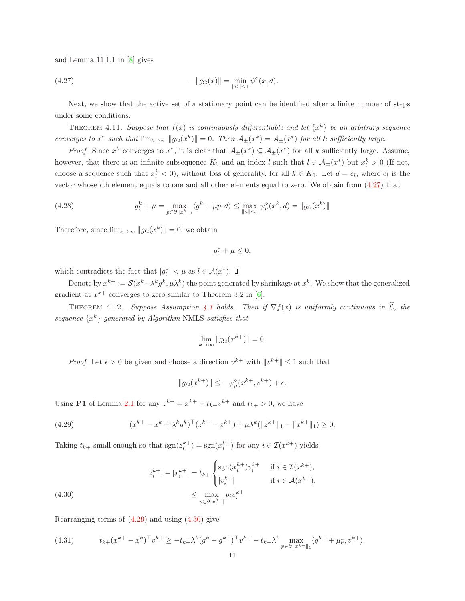and Lemma 11.1.1 in [\[8\]](#page-18-17) gives

<span id="page-10-0"></span>(4.27) 
$$
- \|g_{\Omega}(x)\| = \min_{\|d\| \le 1} \psi^{\diamond}(x, d).
$$

<span id="page-10-5"></span>Next, we show that the active set of a stationary point can be identified after a finite number of steps under some conditions.

THEOREM 4.11. Suppose that  $f(x)$  is continuously differentiable and let  $\{x^k\}$  be an arbitrary sequence converges to  $x^*$  such that  $\lim_{k\to\infty} \|g_{\Omega}(x^k)\| = 0$ . Then  $\mathcal{A}_{\pm}(x^k) = \mathcal{A}_{\pm}(x^*)$  for all k sufficiently large.

*Proof.* Since  $x^k$  converges to  $x^*$ , it is clear that  $\mathcal{A}_{\pm}(x^k) \subseteq \mathcal{A}_{\pm}(x^*)$  for all k sufficiently large. Assume, however, that there is an infinite subsequence  $K_0$  and an index l such that  $l \in \mathcal{A}_{\pm}(x^*)$  but  $x_l^k > 0$  (If not, choose a sequence such that  $x_l^k < 0$ , without loss of generality, for all  $k \in K_0$ . Let  $d = e_l$ , where  $e_l$  is the vector whose lth element equals to one and all other elements equal to zero. We obtain from [\(4.27\)](#page-10-0) that

(4.28) 
$$
g_l^k + \mu = \max_{p \in \partial \|x^k\|_1} \langle g^k + \mu p, d \rangle \le \max_{\|d\| \le 1} \psi_\mu^\diamond(x^k, d) = \|g_\Omega(x^k)\|
$$

Therefore, since  $\lim_{k\to\infty} \|g_{\Omega}(x^k)\| = 0$ , we obtain

$$
g_l^* + \mu \le 0,
$$

which contradicts the fact that  $|g_l^*| < \mu$  as  $l \in \mathcal{A}(x^*)$ .

<span id="page-10-4"></span>Denote by  $x^{k+} := \mathcal{S}(x^k - \lambda^k g^k, \mu \lambda^k)$  the point generated by shrinkage at  $x^k$ . We show that the generalized gradient at  $x^{k+}$  converges to zero similar to Theorem 3.2 in [\[6\]](#page-18-9).

THEOREM [4.1](#page-4-1)2. Suppose Assumption 4.1 holds. Then if  $\nabla f(x)$  is uniformly continuous in  $\widetilde{\mathcal{L}}$ , the sequence  $\{x^k\}$  generated by Algorithm NMLS satisfies that

$$
\lim_{k \to \infty} \|g_{\Omega}(x^{k+})\| = 0.
$$

*Proof.* Let  $\epsilon > 0$  be given and choose a direction  $v^{k+}$  with  $||v^{k+}|| \leq 1$  such that

<span id="page-10-1"></span>
$$
||g_{\Omega}(x^{k+})|| \le -\psi_{\mu}^{\diamond}(x^{k+}, v^{k+}) + \epsilon.
$$

Using **P1** of Lemma [2.1](#page-1-5) for any  $z^{k+} = x^{k+} + t_{k+}v^{k+}$  and  $t_{k+} > 0$ , we have

(4.29) 
$$
(x^{k+} - x^k + \lambda^k g^k)^{\top} (z^{k+} - x^{k+}) + \mu \lambda^k (\|z^{k+}\|_1 - \|x^{k+}\|_1) \ge 0.
$$

Taking  $t_{k+}$  small enough so that  $sgn(z_i^{k+}) = sgn(x_i^{k+})$  for any  $i \in \mathcal{I}(x^{k+})$  yields

<span id="page-10-2"></span>(4.30) 
$$
|z_{i}^{k+}| - |x_{i}^{k+}| = t_{k+} \begin{cases} \text{sgn}(x_{i}^{k+})v_{i}^{k+} & \text{if } i \in \mathcal{I}(x^{k+}), \\ |v_{i}^{k+}| & \text{if } i \in \mathcal{A}(x^{k+}). \end{cases}
$$

$$
\leq \max_{p \in \partial |x_{i}^{k+}|} p_{i}v_{i}^{k+}
$$

Rearranging terms of [\(4.29\)](#page-10-1) and using [\(4.30\)](#page-10-2) give

<span id="page-10-3"></span>
$$
(4.31) \t t_{k+}(x^{k+} - x^k)^{\top} v^{k+} \ge -t_{k+} \lambda^k (g^k - g^{k+})^{\top} v^{k+} - t_{k+} \lambda^k \max_{p \in \partial \|x^{k+}\|_1} \langle g^{k+} + \mu p, v^{k+} \rangle.
$$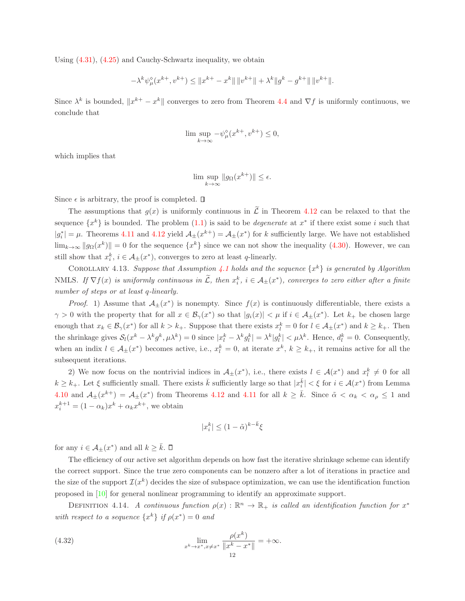Using [\(4.31\)](#page-10-3), [\(4.25\)](#page-9-3) and Cauchy-Schwartz inequality, we obtain

$$
-\lambda^k\psi^{\diamond}_{\mu}(x^{k+},v^{k+})\leq \|x^{k+}-x^k\|\,\|v^{k+}\|+\lambda^k\|g^k-g^{k+}\|\,\|v^{k+}\|.
$$

Since  $\lambda^k$  is bounded,  $||x^{k+} - x^k||$  converges to zero from Theorem [4.4](#page-5-5) and  $\nabla f$  is uniformly continuous, we conclude that

$$
\lim\sup_{k\to\infty}-\psi_\mu^\diamond(x^{k+},v^{k+})\leq 0,
$$

which implies that

$$
\lim \sup_{k \to \infty} \|g_{\Omega}(x^{k+})\| \le \epsilon.
$$

Since  $\epsilon$  is arbitrary, the proof is completed.  $\square$ 

The assumptions that  $g(x)$  is uniformly continuous in  $\tilde{\mathcal{L}}$  in Theorem [4.12](#page-10-4) can be relaxed to that the sequence  $\{x^k\}$  is bounded. The problem  $(1.1)$  is said to be *degenerate* at  $x^*$  if there exist some *i* such that  $|g_i^*| = \mu$ . Theorems [4.11](#page-10-5) and [4.12](#page-10-4) yield  $\mathcal{A}_{\pm}(x^{k+}) = \mathcal{A}_{\pm}(x^*)$  for k sufficiently large. We have not established  $\lim_{k\to\infty} \|g_{\Omega}(x^k)\| = 0$  for the sequence  $\{x^k\}$  since we can not show the inequality [\(4.30\)](#page-10-2). However, we can still show that  $x_i^k$ ,  $i \in \mathcal{A}_{\pm}(x^*)$ , converges to zero at least q-linearly.

<span id="page-11-0"></span>COROLLARY [4.1](#page-4-1)3. Suppose that Assumption 4.1 holds and the sequence  $\{x^k\}$  is generated by Algorithm NMLS. If  $\nabla f(x)$  is uniformly continuous in  $\tilde{\mathcal{L}}$ , then  $x_i^k$ ,  $i \in A_{\pm}(x^*)$ , converges to zero either after a finite number of steps or at least q-linearly.

*Proof.* 1) Assume that  $\mathcal{A}_{\pm}(x^*)$  is nonempty. Since  $f(x)$  is continuously differentiable, there exists a  $\gamma > 0$  with the property that for all  $x \in \mathcal{B}_{\gamma}(x^*)$  so that  $|g_i(x)| < \mu$  if  $i \in \mathcal{A}_{\pm}(x^*)$ . Let  $k_+$  be chosen large enough that  $x_k \in \mathcal{B}_{\gamma}(x^*)$  for all  $k > k_+$ . Suppose that there exists  $x_l^k = 0$  for  $l \in \mathcal{A}_{\pm}(x^*)$  and  $k \geq k_+$ . Then the shrinkage gives  $S_l(x^k - \lambda^k g^k, \mu \lambda^k) = 0$  since  $|x_l^k - \lambda^k g_l^k| = \lambda^k |g_l^k| < \mu \lambda^k$ . Hence,  $d_l^k = 0$ . Consequently, when an indix  $l \in \mathcal{A}_{\pm}(x^*)$  becomes active, i.e.,  $x_l^k = 0$ , at iterate  $x^k$ ,  $k \geq k_+$ , it remains active for all the subsequent iterations.

2) We now focus on the nontrivial indices in  $A_{\pm}(x^*)$ , i.e., there exists  $l \in \mathcal{A}(x^*)$  and  $x_l^k \neq 0$  for all  $k \geq k_+$ . Let  $\xi$  sufficiently small. There exists  $\bar{k}$  sufficiently large so that  $|x_i^{\bar{k}}| < \xi$  for  $i \in \mathcal{A}(x^*)$  from Lemma [4.10](#page-9-4) and  $\mathcal{A}_{\pm}(x^{k+}) = \mathcal{A}_{\pm}(x^*)$  from Theorems [4.12](#page-10-4) and [4.11](#page-10-5) for all  $k \geq \bar{k}$ . Since  $\tilde{\alpha} < \alpha_k < \alpha_\rho \leq 1$  and  $x_i^{k+1} = (1 - \alpha_k)x^k + \alpha_k x^{k+}$ , we obtain

$$
|x_i^k| \leq (1-\tilde{\alpha})^{k-\bar{k}}\xi
$$

for any  $i \in \mathcal{A}_{\pm}(x^*)$  and all  $k \geq \bar{k}$ .

The efficiency of our active set algorithm depends on how fast the iterative shrinkage scheme can identify the correct support. Since the true zero components can be nonzero after a lot of iterations in practice and the size of the support  $\mathcal{I}(x^k)$  decides the size of subspace optimization, we can use the identification function proposed in [\[10\]](#page-18-18) for general nonlinear programming to identify an approximate support.

DEFINITION 4.14. A continuous function  $\rho(x): \mathbb{R}^n \to \mathbb{R}_+$  is called an identification function for  $x^*$ with respect to a sequence  $\{x^k\}$  if  $\rho(x^*)=0$  and

(4.32) 
$$
\lim_{x^k \to x^*, x \neq x^*} \frac{\rho(x^k)}{\|x^k - x^*\|} = +\infty.
$$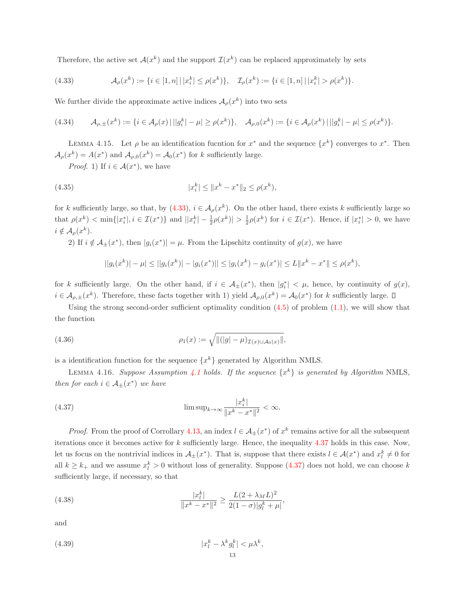Therefore, the active set  $\mathcal{A}(x^k)$  and the support  $\mathcal{I}(x^k)$  can be replaced approximately by sets

<span id="page-12-0"></span>(4.33) 
$$
\mathcal{A}_{\rho}(x^{k}) := \{i \in [1,n] \mid |x_{i}^{k}| \leq \rho(x^{k})\}, \quad \mathcal{I}_{\rho}(x^{k}) := \{i \in [1,n] \mid |x_{i}^{k}| > \rho(x^{k})\}.
$$

We further divide the approximate active indices  $\mathcal{A}_{\rho}(x^k)$  into two sets

$$
(4.34) \qquad \mathcal{A}_{\rho,\pm}(x^k) := \{ i \in \mathcal{A}_{\rho}(x) \, | \, ||g_i^k| - \mu| \ge \rho(x^k) \}, \quad \mathcal{A}_{\rho,0}(x^k) := \{ i \in \mathcal{A}_{\rho}(x^k) \, | \, ||g_i^k| - \mu| \le \rho(x^k) \}.
$$

LEMMA 4.15. Let  $\rho$  be an identification fucntion for  $x^*$  and the sequence  $\{x^k\}$  converges to  $x^*$ . Then  $\mathcal{A}_{\rho}(x^k) = A(x^*)$  and  $\mathcal{A}_{\rho,0}(x^k) = \mathcal{A}_0(x^*)$  for k sufficiently large.

*Proof.* 1) If  $i \in \mathcal{A}(x^*)$ , we have

(4.35) 
$$
|x_i^k| \leq ||x^k - x^*||_2 \leq \rho(x^k),
$$

for k sufficiently large, so that, by  $(4.33)$ ,  $i \in \mathcal{A}_{\rho}(x^k)$ . On the other hand, there exists k sufficiently large so that  $\rho(x^k) < \min\{|x_i^*|, i \in \mathcal{I}(x^*)\}$  and  $||x_i^k| - \frac{1}{2}\rho(x^k)| > \frac{1}{2}\rho(x^k)$  for  $i \in \mathcal{I}(x^*)$ . Hence, if  $|x_i^*| > 0$ , we have  $i \notin \mathcal{A}_{\rho}(x^k).$ 

2) If  $i \notin A_{\pm}(x^*)$ , then  $|g_i(x^*)| = \mu$ . From the Lipschitz continuity of  $g(x)$ , we have

<span id="page-12-4"></span>
$$
||g_i(x^k)| - \mu| \le ||g_i(x^k)| - |g_i(x^*)|| \le |g_i(x^k) - g_i(x^*)| \le L||x^k - x^*|| \le \rho(x^k),
$$

for k sufficiently large. On the other hand, if  $i \in \mathcal{A}_{\pm}(x^*)$ , then  $|g_i^*| < \mu$ , hence, by continuity of  $g(x)$ ,  $i \in \mathcal{A}_{\rho,\pm}(x^k)$ . Therefore, these facts together with 1) yield  $\mathcal{A}_{\rho,0}(x^k) = \mathcal{A}_0(x^*)$  for k sufficiently large.

Using the strong second-order sufficient optimality condition  $(4.5)$  of problem  $(1.1)$ , we will show that the function

(4.36) 
$$
\rho_1(x) := \sqrt{\|(|g| - \mu)_{\mathcal{I}(x) \cup \mathcal{A}_0(x)}\|},
$$

<span id="page-12-3"></span>is a identification function for the sequence  $\{x^k\}$  generated by Algorithm NMLS.

LEMMA [4.1](#page-4-1)6. Suppose Assumption 4.1 holds. If the sequence  $\{x^k\}$  is generated by Algorithm NMLS, then for each  $i \in \mathcal{A}_{\pm}(x^*)$  we have

<span id="page-12-1"></span>(4.37) 
$$
\limsup_{k \to \infty} \frac{|x_i^k|}{\|x^k - x^*\|^2} < \infty.
$$

*Proof.* From the proof of Corrollary [4.13,](#page-11-0) an index  $l \in A_{\pm}(x^*)$  of  $x^k$  remains active for all the subsequent iterations once it becomes active for  $k$  sufficiently large. Hence, the inequality [4.37](#page-12-1) holds in this case. Now, let us focus on the nontrivial indices in  $\mathcal{A}_{\pm}(x^*)$ . That is, suppose that there exists  $l \in \mathcal{A}(x^*)$  and  $x_l^k \neq 0$  for all  $k \geq k_+$  and we assume  $x_l^k > 0$  without loss of generality. Suppose [\(4.37\)](#page-12-1) does not hold, we can choose k sufficiently large, if necessary, so that

(4.38) 
$$
\frac{|x_l^k|}{\|x^k - x^*\|^2} \ge \frac{L(2 + \lambda_M L)^2}{2(1 - \sigma)|g_l^k + \mu|},
$$

and

<span id="page-12-2"></span>
$$
(4.39) \t\t\t |x_l^k - \lambda^k g_l^k| < \mu \lambda^k,
$$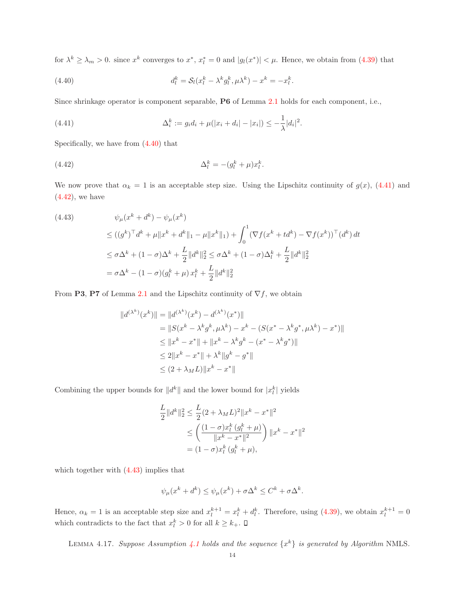for  $\lambda^k \geq \lambda_m > 0$ . since  $x^k$  converges to  $x^*, x^*_l = 0$  and  $|g_l(x^*)| < \mu$ . Hence, we obtain from [\(4.39\)](#page-12-2) that

<span id="page-13-0"></span>(4.40) 
$$
d_l^k = \mathcal{S}_l(x_l^k - \lambda^k g_l^k, \mu \lambda^k) - x^k = -x_l^k.
$$

Since shrinkage operator is component separable, P6 of Lemma [2.1](#page-1-5) holds for each component, i.e.,

<span id="page-13-1"></span>(4.41) 
$$
\Delta_i^k := g_i d_i + \mu(|x_i + d_i| - |x_i|) \leq -\frac{1}{\lambda} |d_i|^2.
$$

Specifically, we have from [\(4.40\)](#page-13-0) that

<span id="page-13-2"></span>
$$
\Delta_l^k = -(g_l^k + \mu)x_l^k.
$$

We now prove that  $\alpha_k = 1$  is an acceptable step size. Using the Lipschitz continuity of  $g(x)$ , [\(4.41\)](#page-13-1) and  $(4.42)$ , we have

<span id="page-13-3"></span>(4.43)  
\n
$$
\psi_{\mu}(x^{k} + d^{k}) - \psi_{\mu}(x^{k})
$$
\n
$$
\leq ((g^{k})^{\top} d^{k} + \mu \|x^{k} + d^{k}\|_{1} - \mu \|x^{k}\|_{1}) + \int_{0}^{1} (\nabla f(x^{k} + td^{k}) - \nabla f(x^{k}))^{\top} (d^{k}) dt
$$
\n
$$
\leq \sigma \Delta^{k} + (1 - \sigma) \Delta^{k} + \frac{L}{2} \|d^{k}\|_{2}^{2} \leq \sigma \Delta^{k} + (1 - \sigma) \Delta_{l}^{k} + \frac{L}{2} \|d^{k}\|_{2}^{2}
$$
\n
$$
= \sigma \Delta^{k} - (1 - \sigma)(g_{l}^{k} + \mu) x_{l}^{k} + \frac{L}{2} \|d^{k}\|_{2}^{2}
$$

From P3, P7 of Lemma [2.1](#page-1-5) and the Lipschitz continuity of  $\nabla f$ , we obtain

$$
||d^{(\lambda^{k})}(x^{k})|| = ||d^{(\lambda^{k})}(x^{k}) - d^{(\lambda^{k})}(x^{*})||
$$
  
\n
$$
= ||S(x^{k} - \lambda^{k} g^{k}, \mu \lambda^{k}) - x^{k} - (S(x^{*} - \lambda^{k} g^{*}, \mu \lambda^{k}) - x^{*})||
$$
  
\n
$$
\leq ||x^{k} - x^{*}|| + ||x^{k} - \lambda^{k} g^{k} - (x^{*} - \lambda^{k} g^{*})||
$$
  
\n
$$
\leq 2||x^{k} - x^{*}|| + \lambda^{k}||g^{k} - g^{*}||
$$
  
\n
$$
\leq (2 + \lambda_{M}L)||x^{k} - x^{*}||
$$

Combining the upper bounds for  $||d^k||$  and the lower bound for  $|x_l^k|$  yields

$$
\frac{L}{2}||d^k||_2^2 \le \frac{L}{2}(2 + \lambda_M L)^2||x^k - x^*||^2
$$
  
\n
$$
\le \left(\frac{(1 - \sigma)x_l^k (g_l^k + \mu)}{||x^k - x^*||^2}\right)||x^k - x^*||^2
$$
  
\n
$$
= (1 - \sigma)x_l^k (g_l^k + \mu),
$$

which together with  $(4.43)$  implies that

$$
\psi_{\mu}(x^k + d^k) \le \psi_{\mu}(x^k) + \sigma \Delta^k \le C^k + \sigma \Delta^k.
$$

<span id="page-13-4"></span>Hence,  $\alpha_k = 1$  is an acceptable step size and  $x_l^{k+1} = x_l^k + d_l^k$ . Therefore, using [\(4.39\)](#page-12-2), we obtain  $x_l^{k+1} = 0$ which contradicts to the fact that  $x_l^k > 0$  for all  $k \geq k_+$ .

LEMMA [4.1](#page-4-1)7. Suppose Assumption 4.1 holds and the sequence  $\{x^k\}$  is generated by Algorithm NMLS.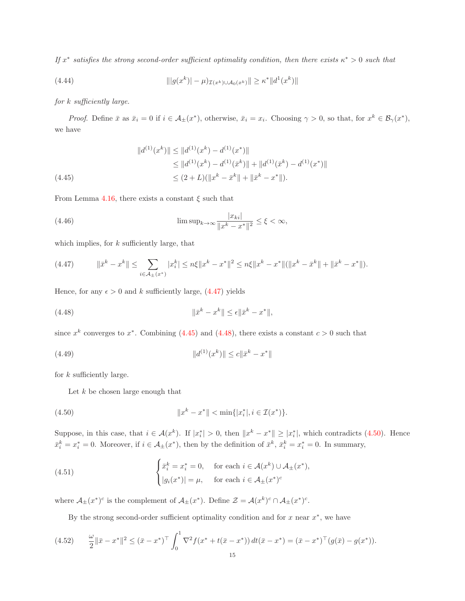If  $x^*$  satisfies the strong second-order sufficient optimality condition, then there exists  $\kappa^* > 0$  such that

(4.44) 
$$
\| |g(x^k)| - \mu_{\mathcal{I}(x^k) \cup \mathcal{A}_0(x^k)} \| \ge \kappa^* \| d^1(x^k) \|
$$

for k sufficiently large.

*Proof.* Define  $\bar{x}$  as  $\bar{x}_i = 0$  if  $i \in \mathcal{A}_{\pm}(x^*)$ , otherwise,  $\bar{x}_i = x_i$ . Choosing  $\gamma > 0$ , so that, for  $x^k \in \mathcal{B}_{\gamma}(x^*)$ , we have

<span id="page-14-1"></span>
$$
||d^{(1)}(x^{k})|| \le ||d^{(1)}(x^{k}) - d^{(1)}(x^{*})||
$$
  
\n
$$
\le ||d^{(1)}(x^{k}) - d^{(1)}(\bar{x}^{k})|| + ||d^{(1)}(\bar{x}^{k}) - d^{(1)}(x^{*})||
$$
  
\n
$$
\le (2 + L)(||x^{k} - \bar{x}^{k}|| + ||\bar{x}^{k} - x^{*}||).
$$

From Lemma [4.16,](#page-12-3) there exists a constant  $\xi$  such that

(4.46) 
$$
\limsup_{k \to \infty} \frac{|x_{ki}|}{||x^k - x^*||^2} \le \xi < \infty,
$$

which implies, for  $k$  sufficiently large, that

<span id="page-14-0"></span>
$$
(4.47) \t||\bar{x}^{k} - x^{k}|| \leq \sum_{i \in \mathcal{A}_{\pm}(x^{*})} |x_{i}^{k}| \leq n\xi \|x^{k} - x^{*}\|^{2} \leq n\xi \|x^{k} - x^{*}\| (\|x^{k} - \bar{x}^{k}\| + \|\bar{x}^{k} - x^{*}\|).
$$

Hence, for any  $\epsilon > 0$  and k sufficiently large, [\(4.47\)](#page-14-0) yields

<span id="page-14-2"></span>
$$
(4.48)\qquad \qquad \|\bar{x}^k - x^k\| \le \epsilon \|\bar{x}^k - x^*\|,
$$

since  $x^k$  converges to  $x^*$ . Combining [\(4.45\)](#page-14-1) and [\(4.48\)](#page-14-2), there exists a constant  $c > 0$  such that

(4.49) 
$$
||d^{(1)}(x^k)|| \leq c||\bar{x}^k - x^*||
$$

for  $k$  sufficiently large.

<span id="page-14-6"></span><span id="page-14-3"></span>Let  $k$  be chosen large enough that

(4.50) 
$$
||x^k - x^*|| < \min\{|x_i^*|, i \in \mathcal{I}(x^*)\}.
$$

Suppose, in this case, that  $i \in \mathcal{A}(x^k)$ . If  $|x_i^*| > 0$ , then  $||x^k - x^*|| \ge |x_i^*|$ , which contradicts [\(4.50\)](#page-14-3). Hence  $\bar{x}_i^k = x_i^* = 0$ . Moreover, if  $i \in A_{\pm}(x^*)$ , then by the definition of  $\bar{x}^k$ ,  $\bar{x}_i^k = x_i^* = 0$ . In summary,

(4.51) 
$$
\begin{cases} \bar{x}_i^k = x_i^* = 0, & \text{for each } i \in \mathcal{A}(x^k) \cup \mathcal{A}_{\pm}(x^*), \\ |g_i(x^*)| = \mu, & \text{for each } i \in \mathcal{A}_{\pm}(x^*)^c \end{cases}
$$

where  $\mathcal{A}_{\pm}(x^*)^c$  is the complement of  $\mathcal{A}_{\pm}(x^*)$ . Define  $\mathcal{Z} = \mathcal{A}(x^k)^c \cap \mathcal{A}_{\pm}(x^*)^c$ .

<span id="page-14-5"></span><span id="page-14-4"></span>By the strong second-order sufficient optimality condition and for  $x$  near  $x^*$ , we have

$$
(4.52) \qquad \frac{\omega}{2} \|\bar{x} - x^*\|^2 \le (\bar{x} - x^*)^\top \int_0^1 \nabla^2 f(x^* + t(\bar{x} - x^*)) dt (\bar{x} - x^*) = (\bar{x} - x^*)^\top (g(\bar{x}) - g(x^*)).
$$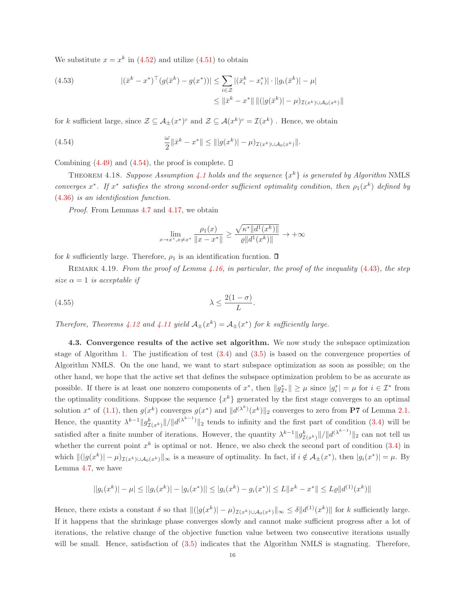We substitute  $x = x^k$  in [\(4.52\)](#page-14-4) and utilize [\(4.51\)](#page-14-5) to obtain

(4.53) 
$$
|(\bar{x}^k - x^*)^\top (g(\bar{x}^k) - g(x^*))| \leq \sum_{i \in \mathcal{Z}} |(\bar{x}_i^k - x_i^*)| \cdot ||g_i(\bar{x}^k)| - \mu|
$$

$$
\leq ||\bar{x}^k - x^*|| ||(|g(\bar{x}^k)| - \mu)_{\mathcal{I}(x^k) \cup \mathcal{A}_0(x^k)}||
$$

for k sufficient large, since  $\mathcal{Z} \subseteq \mathcal{A}_{\pm}(x^*)^c$  and  $\mathcal{Z} \subseteq \mathcal{A}(x^k)^c = \mathcal{I}(x^k)$ . Hence, we obtain

(4.54) 
$$
\frac{\omega}{2} \|\bar{x}^k - x^*\| \leq ||g(x^k)| - \mu_{\mathcal{I}(x^k) \cup \mathcal{A}_0(x^k)}||.
$$

Combining  $(4.49)$  and  $(4.54)$ , the proof is complete.  $\Box$ 

THEOREM [4.1](#page-4-1)8. Suppose Assumption 4.1 holds and the sequence  $\{x^k\}$  is generated by Algorithm NMLS converges  $x^*$ . If  $x^*$  satisfies the strong second-order sufficient optimality condition, then  $\rho_1(x^k)$  defined by [\(4.36\)](#page-12-4) is an identification function.

Proof. From Lemmas [4.7](#page-6-6) and [4.17,](#page-13-4) we obtain

<span id="page-15-1"></span>
$$
\lim_{x \to x^*, x \neq x^*} \frac{\rho_1(x)}{\|x - x^*\|} \ge \frac{\sqrt{\kappa^* \|d^1(x^k)\|}}{\varrho \|d^1(x^k)\|} \to +\infty
$$

for k sufficiently large. Therefore,  $\rho_1$  is an identification fucntion.  $\Box$ 

REMARK 4.19. From the proof of Lemma  $\lambda.16$ , in particular, the proof of the inequality [\(4.43\)](#page-13-3), the step size  $\alpha = 1$  is acceptable if

$$
\lambda \le \frac{2(1-\sigma)}{L}.
$$

<span id="page-15-0"></span>Therefore, Theorems [4.12](#page-10-4) and [4.11](#page-10-5) yield  $\mathcal{A}_{\pm}(x^k) = \mathcal{A}_{\pm}(x^*)$  for k sufficiently large.

4.3. Convergence results of the active set algorithm. We now study the subspace optimization stage of Algorithm [1.](#page-3-1) The justification of test  $(3.4)$  and  $(3.5)$  is based on the convergence properties of Algorithm NMLS. On the one hand, we want to start subspace optimization as soon as possible; on the other hand, we hope that the active set that defines the subspace optimization problem to be as accurate as possible. If there is at least one nonzero components of  $x^*$ , then  $||g_{\mathcal{I}^*}^*|| \geq \mu$  since  $|g_i^*| = \mu$  for  $i \in \mathcal{I}^*$  from the optimality conditions. Suppose the sequence  $\{x^k\}$  generated by the first stage converges to an optimal solution  $x^*$  of [\(1.1\)](#page-0-0), then  $g(x^k)$  converges  $g(x^*)$  and  $||d^{(\lambda^k)}(x^k)||_2$  converges to zero from **P7** of Lemma [2.1.](#page-1-5) Hence, the quantity  $\lambda^{k-1} \|g_{\mathcal{I}(x^k)}^k\|/\|d^{(\lambda^{k-1})}\|_2$  tends to infinity and the first part of condition [\(3.4\)](#page-3-2) will be satisfied after a finite number of iterations. However, the quantity  $\lambda^{k-1} \|g_{\mathcal{I}(x^k)}^k\|/\|d^{(\lambda^{k-1})}\|_2$  can not tell us whether the current point  $x^k$  is optimal or not. Hence, we also check the second part of condition  $(3.4)$  in which  $||(g(x^k)| - \mu)_{\mathcal{I}(x^k) \cup \mathcal{A}_0(x^k)}||_{\infty}$  is a measure of optimality. In fact, if  $i \notin \mathcal{A}_{\pm}(x^*)$ , then  $|g_i(x^*)| = \mu$ . By Lemma [4.7,](#page-6-6) we have

$$
||g_i(x^k)| - \mu| \le ||g_i(x^k)| - |g_i(x^*)|| \le |g_i(x^k) - g_i(x^*)| \le L||x^k - x^*|| \le L\varrho||d^{(1)}(x^k)||
$$

Hence, there exists a constant  $\delta$  so that  $||(g(x^k)|| - \mu)_{\mathcal{I}(x^k) \cup \mathcal{A}_0(x^k)}||_{\infty} \leq \delta ||d^{(1)}(x^k)||$  for k sufficiently large. If it happens that the shrinkage phase converges slowly and cannot make sufficient progress after a lot of iterations, the relative change of the objective function value between two consecutive iterations usually will be small. Hence, satisfaction of  $(3.5)$  indicates that the Algorithm NMLS is stagnating. Therefore,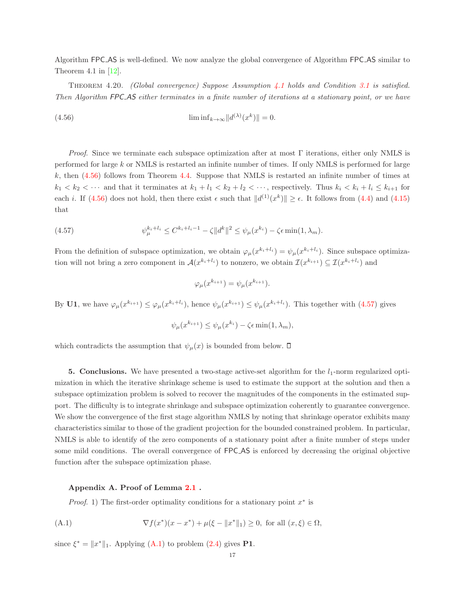Algorithm FPC AS is well-defined. We now analyze the global convergence of Algorithm FPC AS similar to Theorem 4.1 in  $[12]$ .

THEOREM 4.20. (Global convergence) Suppose Assumption [4.1](#page-4-1) holds and Condition [3.1](#page-3-3) is satisfied. Then Algorithm FPC AS either terminates in a finite number of iterations at a stationary point, or we have

<span id="page-16-1"></span>(4.56) 
$$
\liminf_{k \to \infty} ||d^{(\lambda)}(x^k)|| = 0.
$$

*Proof.* Since we terminate each subspace optimization after at most  $\Gamma$  iterations, either only NMLS is performed for large k or NMLS is restarted an infinite number of times. If only NMLS is performed for large  $k$ , then  $(4.56)$  follows from Theorem [4.4.](#page-5-5) Suppose that NMLS is restarted an infinite number of times at  $k_1 < k_2 < \cdots$  and that it terminates at  $k_1 + l_1 < k_2 + l_2 < \cdots$ , respectively. Thus  $k_i < k_i + l_i \leq k_{i+1}$  for each *i*. If [\(4.56\)](#page-16-1) does not hold, then there exist  $\epsilon$  such that  $||d^{(1)}(x^k)|| \ge \epsilon$ . It follows from [\(4.4\)](#page-5-1) and [\(4.15\)](#page-7-6) that

(4.57) 
$$
\psi_{\mu}^{k_i + l_i} \leq C^{k_i + l_i - 1} - \zeta ||d^k||^2 \leq \psi_{\mu}(x^{k_i}) - \zeta \epsilon \min(1, \lambda_m).
$$

From the definition of subspace optimization, we obtain  $\varphi_\mu(x^{k_i+l_i}) = \psi_\mu(x^{k_i+l_i})$ . Since subspace optimization will not bring a zero component in  $\mathcal{A}(x^{k_i+l_i})$  to nonzero, we obtain  $\mathcal{I}(x^{k_{i+1}}) \subseteq \mathcal{I}(x^{k_i+l_i})$  and

<span id="page-16-2"></span>
$$
\varphi_{\mu}(x^{k_{i+1}}) = \psi_{\mu}(x^{k_{i+1}}).
$$

By U1, we have  $\varphi_\mu(x^{k_{i+1}}) \leq \varphi_\mu(x^{k_i+l_i})$ , hence  $\psi_\mu(x^{k_{i+1}}) \leq \psi_\mu(x^{k_i+l_i})$ . This together with [\(4.57\)](#page-16-2) gives

$$
\psi_{\mu}(x^{k_{i+1}}) \le \psi_{\mu}(x^{k_i}) - \zeta \epsilon \min(1, \lambda_m),
$$

which contradicts the assumption that  $\psi_{\mu}(x)$  is bounded from below.  $\square$ 

**5. Conclusions.** We have presented a two-stage active-set algorithm for the  $l_1$ -norm regularized optimization in which the iterative shrinkage scheme is used to estimate the support at the solution and then a subspace optimization problem is solved to recover the magnitudes of the components in the estimated support. The difficulty is to integrate shrinkage and subspace optimization coherently to guarantee convergence. We show the convergence of the first stage algorithm NMLS by noting that shrinkage operator exhibits many characteristics similar to those of the gradient projection for the bounded constrained problem. In particular, NMLS is able to identify of the zero components of a stationary point after a finite number of steps under some mild conditions. The overall convergence of FPC AS is enforced by decreasing the original objective function after the subspace optimization phase.

## <span id="page-16-0"></span>Appendix A. Proof of Lemma [2.1](#page-1-5) .

<span id="page-16-3"></span>*Proof.* 1) The first-order optimality conditions for a stationary point  $x^*$  is

(A.1) 
$$
\nabla f(x^*)(x - x^*) + \mu(\xi - \|x^*\|_1) \ge 0, \text{ for all } (x, \xi) \in \Omega,
$$

since  $\xi^* = ||x^*||_1$ . Applying [\(A.1\)](#page-16-3) to problem [\(2.4\)](#page-1-4) gives **P1**.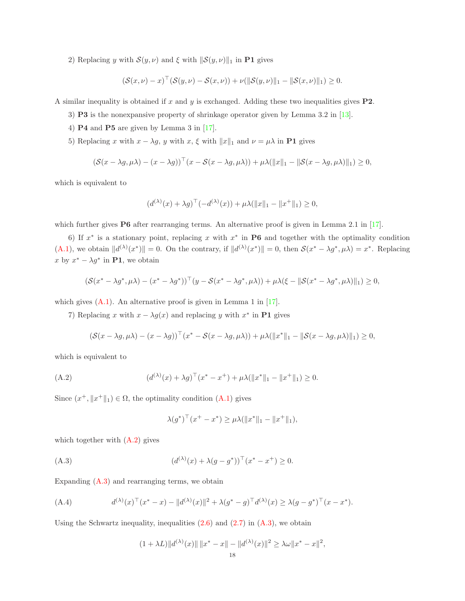2) Replacing y with  $S(y, \nu)$  and  $\xi$  with  $\|\mathcal{S}(y, \nu)\|_1$  in P1 gives

$$
(\mathcal{S}(x,\nu) - x)^{\top} (\mathcal{S}(y,\nu) - \mathcal{S}(x,\nu)) + \nu(||\mathcal{S}(y,\nu)||_1 - ||\mathcal{S}(x,\nu)||_1) \geq 0.
$$

A similar inequality is obtained if x and y is exchanged. Adding these two inequalities gives  $P2$ .

- 3) P3 is the nonexpansive property of shrinkage operator given by Lemma 3.2 in [\[13\]](#page-18-12).
- 4)  $P4$  and  $P5$  are given by Lemma 3 in [\[17\]](#page-18-16).
- 5) Replacing x with  $x \lambda g$ , y with x,  $\xi$  with  $||x||_1$  and  $\nu = \mu \lambda$  in **P1** gives

$$
(\mathcal{S}(x - \lambda g, \mu \lambda) - (x - \lambda g))^{\top} (x - \mathcal{S}(x - \lambda g, \mu \lambda)) + \mu \lambda (\|x\|_1 - \|\mathcal{S}(x - \lambda g, \mu \lambda)\|_1) \ge 0,
$$

which is equivalent to

$$
(d^{(\lambda)}(x) + \lambda g)^{\top}(-d^{(\lambda)}(x)) + \mu \lambda(||x||_1 - ||x^+||_1) \ge 0,
$$

which further gives P6 after rearranging terms. An alternative proof is given in Lemma 2.1 in [\[17\]](#page-18-16).

6) If  $x^*$  is a stationary point, replacing x with  $x^*$  in P6 and together with the optimality condition  $(A.1)$ , we obtain  $||d^{(\lambda)}(x^*)|| = 0$ . On the contrary, if  $||d^{(\lambda)}(x^*)|| = 0$ , then  $\mathcal{S}(x^* - \lambda g^*, \mu \lambda) = x^*$ . Replacing x by  $x^* - \lambda g^*$  in **P1**, we obtain

$$
(\mathcal{S}(x^* - \lambda g^*, \mu \lambda) - (x^* - \lambda g^*))^{\top} (y - \mathcal{S}(x^* - \lambda g^*, \mu \lambda)) + \mu \lambda (\xi - \|\mathcal{S}(x^* - \lambda g^*, \mu \lambda)\|_1) \geq 0,
$$

which gives  $(A.1)$ . An alternative proof is given in Lemma 1 in [\[17\]](#page-18-16).

7) Replacing x with  $x - \lambda g(x)$  and replacing y with  $x^*$  in **P1** gives

$$
(\mathcal{S}(x - \lambda g, \mu \lambda) - (x - \lambda g))^{\top} (x^* - \mathcal{S}(x - \lambda g, \mu \lambda)) + \mu \lambda (\|x^*\|_1 - \|\mathcal{S}(x - \lambda g, \mu \lambda)\|_1) \ge 0,
$$

which is equivalent to

(A.2) 
$$
(d^{(\lambda)}(x) + \lambda g)^{\top} (x^* - x^+) + \mu \lambda (\|x^*\|_1 - \|x^+\|_1) \ge 0.
$$

Since  $(x^+, \|x^+\|_1) \in \Omega$ , the optimality condition  $(A.1)$  gives

<span id="page-17-1"></span><span id="page-17-0"></span>
$$
\lambda(g^*)^\top (x^+ - x^*) \ge \mu \lambda(\|x^*\|_1 - \|x^+\|_1),
$$

which together with  $(A.2)$  gives

(A.3) 
$$
(d^{(\lambda)}(x) + \lambda(g - g^*))^{\top} (x^* - x^+) \ge 0.
$$

Expanding [\(A.3\)](#page-17-1) and rearranging terms, we obtain

(A.4) 
$$
d^{(\lambda)}(x)^{\top}(x^* - x) - ||d^{(\lambda)}(x)||^2 + \lambda (g^* - g)^{\top} d^{(\lambda)}(x) \geq \lambda (g - g^*)^{\top} (x - x^*).
$$

Using the Schwartz inequality, inequalities  $(2.6)$  and  $(2.7)$  in  $(A.3)$ , we obtain

$$
(1 + \lambda L) \|d^{(\lambda)}(x)\| \|x^* - x\| - \|d^{(\lambda)}(x)\|^2 \ge \lambda \omega \|x^* - x\|^2,
$$